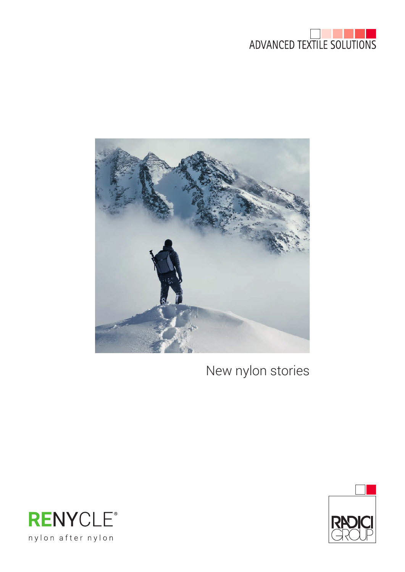



New nylon stories



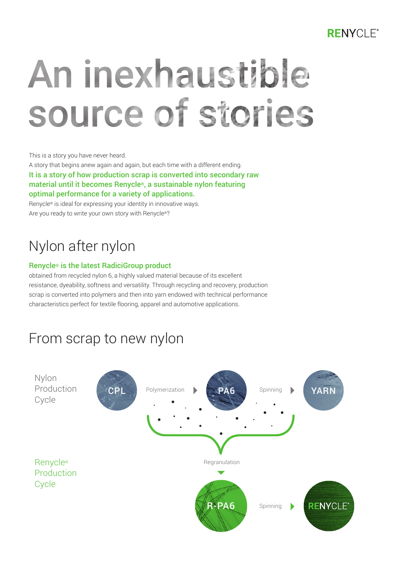#### **RENYCLE®**

# An inexhaustible source of stories

This is a story you have never heard.

A story that begins anew again and again, but each time with a different ending. It is a story of how production scrap is converted into secondary raw material until it becomes Renycle®, a sustainable nylon featuring optimal performance for a variety of applications.

Renycle® is ideal for expressing your identity in innovative ways. Are you ready to write your own story with Renycle®?

## Nylon after nylon

#### Renycle® is the latest RadiciGroup product

obtained from recycled nylon 6, a highly valued material because of its excellent resistance, dyeability, softness and versatility. Through recycling and recovery, production scrap is converted into polymers and then into yarn endowed with technical performance characteristics perfect for textile flooring, apparel and automotive applications.

## From scrap to new nylon

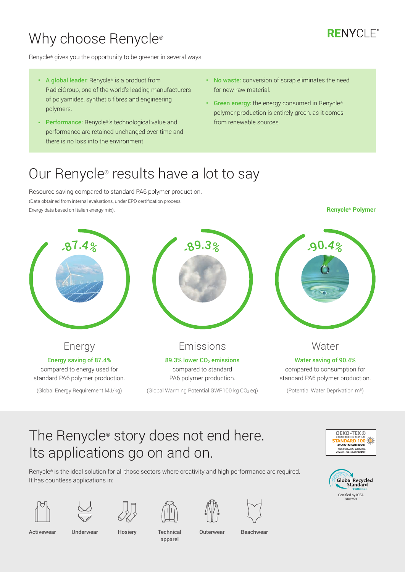## Why choose Renycle<sup>®</sup>

#### **RENYCLE®**

Renycle® gives you the opportunity to be greener in several ways:

- A global leader: Renycle® is a product from RadiciGroup, one of the world's leading manufacturers of polyamides, synthetic fibres and engineering polymers.
- Performance: Renycle®'s technological value and performance are retained unchanged over time and there is no loss into the environment.
- No waste: conversion of scrap eliminates the need for new raw material.
- Green energy: the energy consumed in Renycle® polymer production is entirely green, as it comes from renewable sources.

### Our Renycle® results have a lot to say

Resource saving compared to standard PA6 polymer production. (Data obtained from internal evaluations, under EPD certification process. Energy data based on Italian energy mix).

**Renycle® Polymer**



## The Renycle® story does not end here. Its applications go on and on.

Renycle® is the ideal solution for all those sectors where creativity and high performance are required. It has countless applications in:



















Activewear

apparel

Underwear Hosiery Technical Outerwear Beachwear